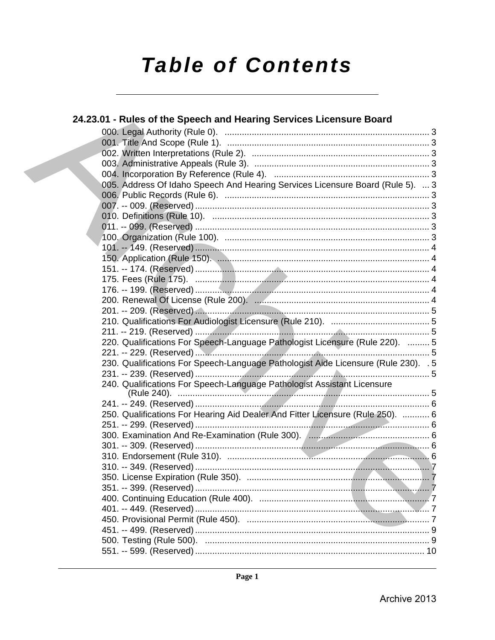# **Table of Contents**

| 24.23.01 - Rules of the Speech and Hearing Services Licensure Board                |  |
|------------------------------------------------------------------------------------|--|
|                                                                                    |  |
|                                                                                    |  |
|                                                                                    |  |
|                                                                                    |  |
|                                                                                    |  |
| 005. Address Of Idaho Speech And Hearing Services Licensure Board (Rule 5).  3     |  |
|                                                                                    |  |
|                                                                                    |  |
|                                                                                    |  |
|                                                                                    |  |
|                                                                                    |  |
|                                                                                    |  |
|                                                                                    |  |
|                                                                                    |  |
|                                                                                    |  |
|                                                                                    |  |
|                                                                                    |  |
|                                                                                    |  |
|                                                                                    |  |
|                                                                                    |  |
| 220. Qualifications For Speech-Language Pathologist Licensure (Rule 220).  5       |  |
|                                                                                    |  |
| 230. Qualifications For Speech-Language Pathologist Aide Licensure (Rule 230). . 5 |  |
|                                                                                    |  |
| 240. Qualifications For Speech-Language Pathologist Assistant Licensure            |  |
|                                                                                    |  |
| 250. Qualifications For Hearing Aid Dealer And Fitter Licensure (Rule 250).  6     |  |
|                                                                                    |  |
|                                                                                    |  |
|                                                                                    |  |
|                                                                                    |  |
|                                                                                    |  |
|                                                                                    |  |
|                                                                                    |  |
|                                                                                    |  |
|                                                                                    |  |
|                                                                                    |  |
|                                                                                    |  |
|                                                                                    |  |
|                                                                                    |  |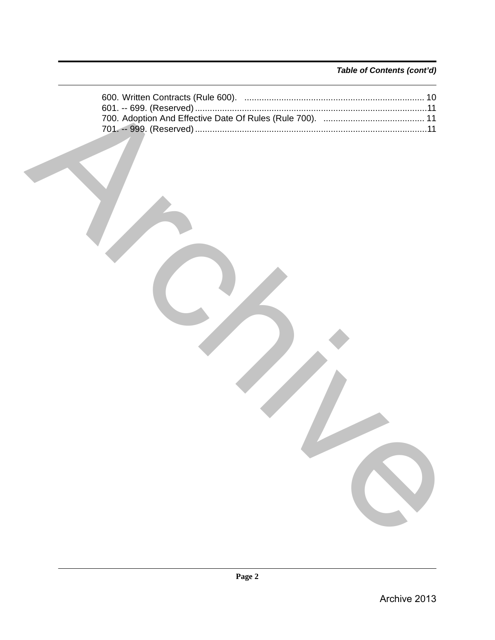# *Table of Contents (cont'd)*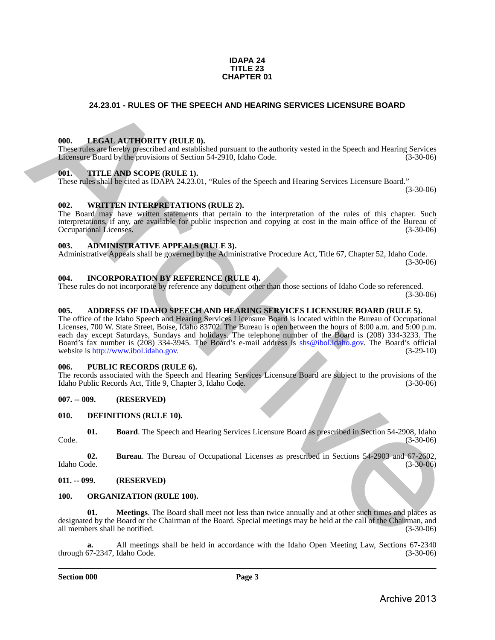#### **IDAPA 24 TITLE 23 CHAPTER 01**

#### <span id="page-2-0"></span>**24.23.01 - RULES OF THE SPEECH AND HEARING SERVICES LICENSURE BOARD**

#### <span id="page-2-1"></span>**000. LEGAL AUTHORITY (RULE 0).**

These rules are hereby prescribed and established pursuant to the authority vested in the Speech and Hearing Services Licensure Board by the provisions of Section 54-2910, Idaho Code. (3-30-06)

#### <span id="page-2-2"></span>**001. TITLE AND SCOPE (RULE 1).**

These rules shall be cited as IDAPA 24.23.01, "Rules of the Speech and Hearing Services Licensure Board."

(3-30-06)

#### <span id="page-2-3"></span>**002. WRITTEN INTERPRETATIONS (RULE 2).**

The Board may have written statements that pertain to the interpretation of the rules of this chapter. Such interpretations, if any, are available for public inspection and copying at cost in the main office of the Bureau of Occupational Licenses.

#### <span id="page-2-4"></span>**003. ADMINISTRATIVE APPEALS (RULE 3).**

Administrative Appeals shall be governed by the Administrative Procedure Act, Title 67, Chapter 52, Idaho Code. (3-30-06)

#### <span id="page-2-5"></span>**004. INCORPORATION BY REFERENCE (RULE 4).**

These rules do not incorporate by reference any document other than those sections of Idaho Code so referenced. (3-30-06)

#### <span id="page-2-6"></span>**005. ADDRESS OF IDAHO SPEECH AND HEARING SERVICES LICENSURE BOARD (RULE 5).**

The office of the Idaho Speech and Hearing Services Licensure Board is located within the Bureau of Occupational Licenses, 700 W. State Street, Boise, Idaho 83702. The Bureau is open between the hours of 8:00 a.m. and 5:00 p.m. each day except Saturdays, Sundays and holidays. The telephone number of the Board is (208) 334-3233. The Board's fax number is (208) 334-3945. The Board's e-mail address is shs@ibol.idaho.gov. The Board's official website is http://www.ibol.idaho.gov. (3-29-10) **24.23.07 • RULES OF THE SPEECH AND HEARING SERVICES LICENSURE BOARD<br>
1996.** LEVEN ANTITUDENTY (BILLE)<br>
The method increase of street and the method present of the speech and Hearing Services<br>
Theorem Simulty Highermoston

#### <span id="page-2-7"></span>**006. PUBLIC RECORDS (RULE 6).**

The records associated with the Speech and Hearing Services Licensure Board are subject to the provisions of the Idaho Public Records Act, Title 9, Chapter 3, Idaho Code. (3-30-06)

#### <span id="page-2-8"></span>**007. -- 009. (RESERVED)**

#### <span id="page-2-12"></span><span id="page-2-9"></span>**010. DEFINITIONS (RULE 10).**

<span id="page-2-13"></span>**01. Board**. The Speech and Hearing Services Licensure Board as prescribed in Section 54-2908, Idaho Code. (3-30-06)

<span id="page-2-14"></span>**02.** Bureau. The Bureau of Occupational Licenses as prescribed in Sections 54-2903 and 67-2602, Idaho Code. (3-30-06) Idaho Code. (3-30-06)

#### <span id="page-2-10"></span>**011. -- 099. (RESERVED)**

#### <span id="page-2-15"></span><span id="page-2-11"></span>**100. ORGANIZATION (RULE 100).**

<span id="page-2-16"></span>**01. Meetings**. The Board shall meet not less than twice annually and at other such times and places as designated by the Board or the Chairman of the Board. Special meetings may be held at the call of the Chairman, and all members shall be notified. (3-30-06) all members shall be notified.

**a.** All meetings shall be held in accordance with the Idaho Open Meeting Law, Sections 67-2340 through 67-2347, Idaho Code. (3-30-06)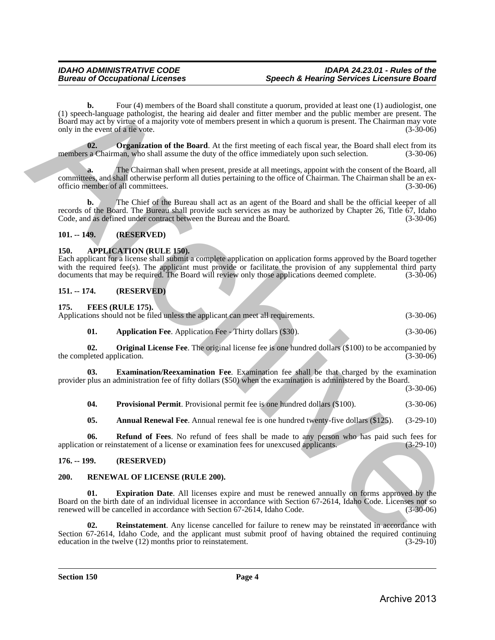**b.** Four (4) members of the Board shall constitute a quorum, provided at least one (1) audiologist, one (1) speech-language pathologist, the hearing aid dealer and fitter member and the public member are present. The Board may act by virtue of a majority vote of members present in which a quorum is present. The Chairman may vote only in the event of a tie vote. (3-30-06) (1) speaks image from the method of the Board dial consistent operator, provided a lost one of 1) and/ologiat and<br>Board may neel by Crisis of a majority vote of monetary present in which a generate The Chairman may we<br>als

<span id="page-3-14"></span>**02. Organization of the Board**. At the first meeting of each fiscal year, the Board shall elect from its a Chairman, who shall assume the duty of the office immediately upon such selection. (3-30-06) members a Chairman, who shall assume the duty of the office immediately upon such selection.

**a.** The Chairman shall when present, preside at all meetings, appoint with the consent of the Board, all committees, and shall otherwise perform all duties pertaining to the office of Chairman. The Chairman shall be an ex-<br>officio member of all committees. (3-30-06) officio member of all committees.

**b.** The Chief of the Bureau shall act as an agent of the Board and shall be the official keeper of all records of the Board. The Bureau shall provide such services as may be authorized by Chapter 26, Title 67, Idaho Code, and as defined under contract between the Bureau and the Board. (3-30-06)

## <span id="page-3-0"></span>**101. -- 149. (RESERVED)**

#### <span id="page-3-6"></span><span id="page-3-1"></span>**150. APPLICATION (RULE 150).**

Each applicant for a license shall submit a complete application on application forms approved by the Board together with the required fee(s). The applicant must provide or facilitate the provision of any supplemental third party documents that may be required. The Board will review only those applications deemed complete. (3-30-06) documents that may be required. The Board will review only those applications deemed complete.

## <span id="page-3-2"></span>**151. -- 174. (RESERVED)**

<span id="page-3-7"></span><span id="page-3-3"></span>**175. FEES (RULE 175).**

<span id="page-3-11"></span><span id="page-3-10"></span><span id="page-3-9"></span>**01. Application Fee**. Application Fee - Thirty dollars (\$30). (3-30-06)

**02. Original License Fee**. The original license fee is one hundred dollars (\$100) to be accompanied by leted application. (3-30-06) the completed application.

**03. Examination/Reexamination Fee**. Examination fee shall be that charged by the examination provider plus an administration fee of fifty dollars (\$50) when the examination is administered by the Board.

(3-30-06)

<span id="page-3-12"></span>**04. Provisional Permit**. Provisional permit fee is one hundred dollars (\$100). (3-30-06)

<span id="page-3-13"></span><span id="page-3-8"></span>**05. Annual Renewal Fee**. Annual renewal fee is one hundred twenty-five dollars (\$125). (3-29-10)

**06. Refund of Fees**. No refund of fees shall be made to any person who has paid such fees for on or reinstatement of a license or examination fees for unexcused applicants. (3-29-10) application or reinstatement of a license or examination fees for unexcused applicants.

#### <span id="page-3-4"></span>**176. -- 199. (RESERVED)**

#### <span id="page-3-15"></span><span id="page-3-5"></span>**200. RENEWAL OF LICENSE (RULE 200).**

<span id="page-3-16"></span>**01. Expiration Date**. All licenses expire and must be renewed annually on forms approved by the Board on the birth date of an individual licensee in accordance with Section 67-2614, Idaho Code. Licenses not so renewed will be cancelled in accordance with Section 67-2614, Idaho Code. (3-30-06)

<span id="page-3-17"></span>**02. Reinstatement**. Any license cancelled for failure to renew may be reinstated in accordance with Section 67-2614, Idaho Code, and the applicant must submit proof of having obtained the required continuing education in the twelve  $(12)$  months prior to reinstatement.  $(3-29-10)$ education in the twelve  $(12)$  months prior to reinstatement.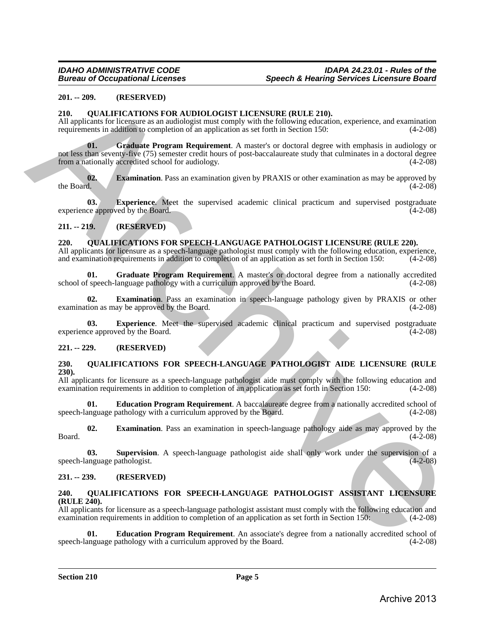#### <span id="page-4-0"></span>**201. -- 209. (RESERVED)**

#### <span id="page-4-8"></span><span id="page-4-1"></span>**210. QUALIFICATIONS FOR AUDIOLOGIST LICENSURE (RULE 210).**

<span id="page-4-11"></span>All applicants for licensure as an audiologist must comply with the following education, experience, and examination requirements in addition to completion of an application as set forth in Section 150: (4-2-08)

**01. Graduate Program Requirement**. A master's or doctoral degree with emphasis in audiology or not less than seventy-five (75) semester credit hours of post-baccalaureate study that culminates in a doctoral degree from a nationally accredited school for audiology. (4-2-08) 20. - 20. (HISSENDVED)<br>
21. - QUALIFICATIONS FOR AUDIOLOGIST LICENSIURE (RLLE 210).<br>
21. - QUALIFICATIONS FOR AUDIOLOGIST LICENSIURE (RLLE 210).<br>
21. - Consideration and model computation of an application at set form in

<span id="page-4-9"></span>**02. Examination**. Pass an examination given by PRAXIS or other examination as may be approved by the Board. (4-2-08) the Board.  $(4-2-08)$ 

<span id="page-4-10"></span>**03. Experience**. Meet the supervised academic clinical practicum and supervised postgraduate ce approved by the Board. (4-2-08) experience approved by the Board.

#### <span id="page-4-2"></span>**211. -- 219. (RESERVED)**

#### <span id="page-4-18"></span><span id="page-4-3"></span>**220. QUALIFICATIONS FOR SPEECH-LANGUAGE PATHOLOGIST LICENSURE (RULE 220).**

All applicants for licensure as a speech-language pathologist must comply with the following education, experience, and examination requirements in addition to completion of an application as set forth in Section 150: (4-2 and examination requirements in addition to completion of an application as set forth in Section 150:

<span id="page-4-20"></span>**01.** Graduate Program Requirement. A master's or doctoral degree from a nationally accredited f speech-language pathology with a curriculum approved by the Board. (4-2-08) school of speech-language pathology with a curriculum approved by the Board.

<span id="page-4-19"></span>**02. Examination**. Pass an examination in speech-language pathology given by PRAXIS or other tion as may be approved by the Board. (4-2-08) examination as may be approved by the Board.

<span id="page-4-21"></span>**03. Experience**. Meet the supervised academic clinical practicum and supervised postgraduate ce approved by the Board. (4-2-08) experience approved by the Board.

#### <span id="page-4-4"></span>**221. -- 229. (RESERVED)**

#### <span id="page-4-12"></span><span id="page-4-5"></span>**230. QUALIFICATIONS FOR SPEECH-LANGUAGE PATHOLOGIST AIDE LICENSURE (RULE 230).**

All applicants for licensure as a speech-language pathologist aide must comply with the following education and examination requirements in addition to completion of an application as set forth in Section 150: (4-2-08)

<span id="page-4-13"></span>**01. Education Program Requirement**. A baccalaureate degree from a nationally accredited school of anguage pathology with a curriculum approved by the Board. (4-2-08) speech-language pathology with a curriculum approved by the Board.

<span id="page-4-14"></span>**02. Examination**. Pass an examination in speech-language pathology aide as may approved by the  $Board.$  (4-2-08)

<span id="page-4-15"></span>**03. Supervision**. A speech-language pathologist aide shall only work under the supervision of a anguage pathologist. (4-2-08) speech-language pathologist.

#### <span id="page-4-6"></span>**231. -- 239. (RESERVED)**

#### <span id="page-4-16"></span><span id="page-4-7"></span>**240. QUALIFICATIONS FOR SPEECH-LANGUAGE PATHOLOGIST ASSISTANT LICENSURE (RULE 240).**

All applicants for licensure as a speech-language pathologist assistant must comply with the following education and examination requirements in addition to completion of an application as set forth in Section 150: (4-2-08 examination requirements in addition to completion of an application as set forth in Section 150:

<span id="page-4-17"></span>**01. Education Program Requirement**. An associate's degree from a nationally accredited school of anguage pathology with a curriculum approved by the Board. (4-2-08) speech-language pathology with a curriculum approved by the Board.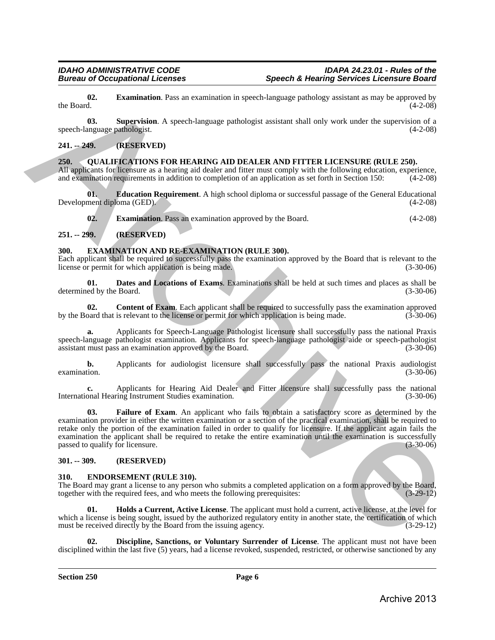<span id="page-5-15"></span>**02. Examination**. Pass an examination in speech-language pathology assistant as may be approved by the Board. (4-2-08) the Board.  $(4-2-08)$ 

<span id="page-5-16"></span>**03. Supervision**. A speech-language pathologist assistant shall only work under the supervision of a speech-language pathologist. (4-2-08)

#### <span id="page-5-0"></span>**241. -- 249. (RESERVED)**

#### <span id="page-5-13"></span><span id="page-5-1"></span>**250. QUALIFICATIONS FOR HEARING AID DEALER AND FITTER LICENSURE (RULE 250).**

All applicants for licensure as a hearing aid dealer and fitter must comply with the following education, experience, and examination requirements in addition to completion of an application as set forth in Section 150: (4-2-08)

**01. Education Requirement**. A high school diploma or successful passage of the General Educational Development diploma (GED).

<span id="page-5-14"></span><span id="page-5-9"></span>**02. Examination**. Pass an examination approved by the Board. (4-2-08)

#### <span id="page-5-2"></span>**251. -- 299. (RESERVED)**

#### <span id="page-5-3"></span>**300. EXAMINATION AND RE-EXAMINATION (RULE 300).**

Each applicant shall be required to successfully pass the examination approved by the Board that is relevant to the license or permit for which application is being made. license or permit for which application is being made.

<span id="page-5-11"></span>**01. Dates and Locations of Exams**. Examinations shall be held at such times and places as shall be determined by the Board. (3-30-06)

<span id="page-5-10"></span>**02.** Content of Exam. Each applicant shall be required to successfully pass the examination approved by the Board that is relevant to the license or permit for which application is being made. (3-30-06)

**a.** Applicants for Speech-Language Pathologist licensure shall successfully pass the national Praxis speech-language pathologist examination. Applicants for speech-language pathologist aide or speech-pathologist assistant must pass an examination approved by the Board. (3-30-06) assistant must pass an examination approved by the Board.

**b.** Applicants for audiologist licensure shall successfully pass the national Praxis audiologist examination. (3-30-06)  $\alpha$  examination.  $(3-30-06)$ 

<span id="page-5-12"></span>**c.** Applicants for Hearing Aid Dealer and Fitter licensure shall successfully pass the national meaning Instrument Studies examination. (3-30-06) International Hearing Instrument Studies examination.

**03. Failure of Exam**. An applicant who fails to obtain a satisfactory score as determined by the examination provider in either the written examination or a section of the practical examination, shall be required to retake only the portion of the examination failed in order to qualify for licensure. If the applicant again fails the examination the applicant shall be required to retake the entire examination until the examination is successfully passed to qualify for licensure. (3-30-06) passed to qualify for licensure. The Board<br>
2. Evaporison Pass an experiment in equal-hanging pathology assistant in the period (4.2.06)<br>
2. Comparison (4.2.06)<br>
4. Approximately all approximately infinite in the period of the system (4.2.06)<br>
4. Archive

#### <span id="page-5-4"></span>**301. -- 309. (RESERVED)**

#### <span id="page-5-6"></span><span id="page-5-5"></span>**310. ENDORSEMENT (RULE 310).**

The Board may grant a license to any person who submits a completed application on a form approved by the Board, together with the required fees, and who meets the following prerequisites: (3-29-12) together with the required fees, and who meets the following prerequisites:

<span id="page-5-8"></span>**01. Holds a Current, Active License**. The applicant must hold a current, active license, at the level for which a license is being sought, issued by the authorized regulatory entity in another state, the certification of which must be received directly by the Board from the issuing agency. (3-29-12)

<span id="page-5-7"></span>**02. Discipline, Sanctions, or Voluntary Surrender of License**. The applicant must not have been disciplined within the last five (5) years, had a license revoked, suspended, restricted, or otherwise sanctioned by any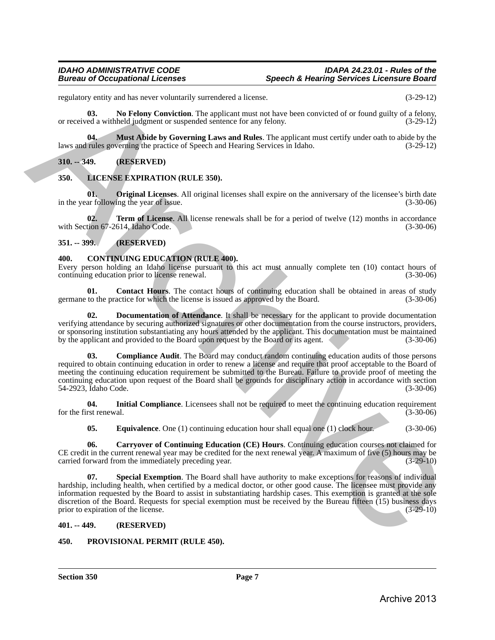#### *IDAHO ADMINISTRATIVE CODE IDAPA 24.23.01 - Rules of the Bureau of Occupational Licenses Speech & Hearing Services Licensure Board*

regulatory entity and has never voluntarily surrendered a license. (3-29-12)

<span id="page-6-15"></span>**03. No Felony Conviction**. The applicant must not have been convicted of or found guilty of a felony, or received a withheld judgment or suspended sentence for any felony. (3-29-12)

<span id="page-6-14"></span>**04. Must Abide by Governing Laws and Rules**. The applicant must certify under oath to abide by the laws and rules governing the practice of Speech and Hearing Services in Idaho.

<span id="page-6-0"></span>**310. -- 349. (RESERVED)**

#### <span id="page-6-16"></span><span id="page-6-1"></span>**350. LICENSE EXPIRATION (RULE 350).**

<span id="page-6-17"></span>**01. Original Licenses**. All original licenses shall expire on the anniversary of the licensee's birth date ar following the vear of issue. in the year following the year of issue.

<span id="page-6-18"></span>**02. Term of License**. All license renewals shall be for a period of twelve (12) months in accordance tion 67-2614. Idaho Code. (3-30-06) with Section 67-2614, Idaho Code.

#### <span id="page-6-2"></span>**351. -- 399. (RESERVED)**

#### <span id="page-6-6"></span><span id="page-6-3"></span>**400. CONTINUING EDUCATION (RULE 400).**

Every person holding an Idaho license pursuant to this act must annually complete ten (10) contact hours of continuing education prior to license renewal. (3-30-06) continuing education prior to license renewal.

<span id="page-6-9"></span>**01. Contact Hours**. The contact hours of continuing education shall be obtained in areas of study to the practice for which the license is issued as approved by the Board. (3-30-06) germane to the practice for which the license is issued as approved by the Board.

<span id="page-6-10"></span><span id="page-6-8"></span>**02. Documentation of Attendance**. It shall be necessary for the applicant to provide documentation verifying attendance by securing authorized signatures or other documentation from the course instructors, providers, or sponsoring institution substantiating any hours attended by the applicant. This documentation must be maintained<br>by the applicant and provided to the Board upon request by the Board or its agent. (3-30-06) by the applicant and provided to the Board upon request by the Board or its agent.

**03. Compliance Audit**. The Board may conduct random continuing education audits of those persons required to obtain continuing education in order to renew a license and require that proof acceptable to the Board of meeting the continuing education requirement be submitted to the Bureau. Failure to provide proof of meeting the continuing education upon request of the Board shall be grounds for disciplinary action in accordance with section 54-2923, Idaho Code. (3-30-06) regulatory emity continue meter when the method is the second to the second of the second of the second of the second of the second of the second of the second of the second of the second of the second of the second of th

**04.** Initial Compliance. Licensees shall not be required to meet the continuing education requirement rst renewal. (3-30-06) for the first renewal.

<span id="page-6-13"></span><span id="page-6-12"></span><span id="page-6-11"></span><span id="page-6-7"></span>**05. Equivalence**. One (1) continuing education hour shall equal one (1) clock hour. (3-30-06)

**06. Carryover of Continuing Education (CE) Hours**. Continuing education courses not claimed for CE credit in the current renewal year may be credited for the next renewal year. A maximum of five (5) hours may be carried forward from the immediately preceding year. carried forward from the immediately preceding year.

**Special Exemption**. The Board shall have authority to make exceptions for reasons of individual hardship, including health, when certified by a medical doctor, or other good cause. The licensee must provide any information requested by the Board to assist in substantiating hardship cases. This exemption is granted at the sole discretion of the Board. Requests for special exemption must be received by the Bureau fifteen (15) business days prior to expiration of the license. (3-29-10)

#### <span id="page-6-4"></span>**401. -- 449. (RESERVED)**

#### <span id="page-6-19"></span><span id="page-6-5"></span>**450. PROVISIONAL PERMIT (RULE 450).**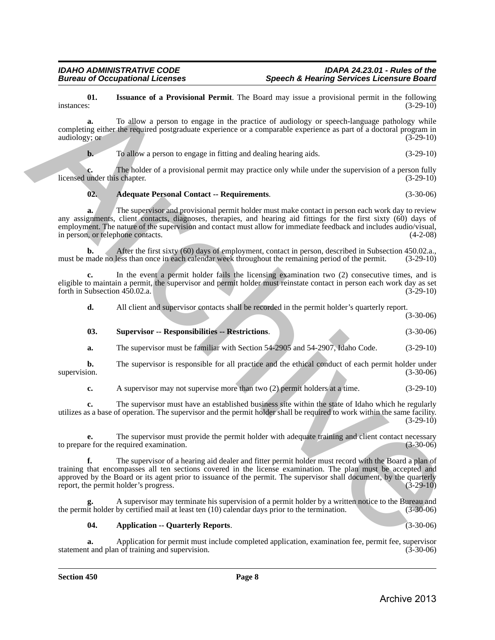*IDAHO ADMINISTRATIVE CODE IDAPA 24.23.01 - Rules of the Bureau of Occupational Licenses Speech & Hearing Services Licensure Board*

<span id="page-7-2"></span>**01.** Issuance of a Provisional Permit. The Board may issue a provisional permit in the following instances: (3-29-10) instances:  $(3-29-10)$ 

**a.** To allow a person to engage in the practice of audiology or speech-language pathology while completing either the required postgraduate experience or a comparable experience as part of a doctoral program in audiology; or (3-29-10) audiology; or (3-29-10)

**b.** To allow a person to engage in fitting and dealing hearing aids.  $(3-29-10)$ 

The holder of a provisional permit may practice only while under the supervision of a person fully s chapter.  $(3-29-10)$ licensed under this chapter.

<span id="page-7-0"></span>**02. Adequate Personal Contact -- Requirements**. (3-30-06)

**a.** The supervisor and provisional permit holder must make contact in person each work day to review any assignments, client contacts, diagnoses, therapies, and hearing aid fittings for the first sixty (60) days of employment. The nature of the supervision and contact must allow for immediate feedback and includes audio/visual, in person, or telephone contacts. (4-2-08) in person, or telephone contacts.

**b.** After the first sixty (60) days of employment, contact in person, described in Subsection 450.02.a., made no less than once in each calendar week throughout the remaining period of the permit. (3-29-10) must be made no less than once in each calendar week throughout the remaining period of the permit.

**c.** In the event a permit holder fails the licensing examination two (2) consecutive times, and is eligible to maintain a permit, the supervisor and permit holder must reinstate contact in person each work day as set forth in Subsection 450.02.a. forth in Subsection 450.02.a.

**d.** All client and supervisor contacts shall be recorded in the permit holder's quarterly report. (3-30-06)

<span id="page-7-3"></span>

| 03. | <b>Supervisor -- Responsibilities -- Restrictions.</b> |  | $(3-30-06)$ |
|-----|--------------------------------------------------------|--|-------------|

**a.** The supervisor must be familiar with Section 54-2905 and 54-2907, Idaho Code. (3-29-10)

**b.** The supervisor is responsible for all practice and the ethical conduct of each permit holder under supervision.  $(3-30-06)$ supervision. (3-30-06)

**c.** A supervisor may not supervise more than two (2) permit holders at a time. (3-29-10)

**c.** The supervisor must have an established business site within the state of Idaho which he regularly utilizes as a base of operation. The supervisor and the permit holder shall be required to work within the same facility. (3-29-10)

**e.** The supervisor must provide the permit holder with adequate training and client contact necessary re for the required examination.  $(3-30-06)$ to prepare for the required examination.

**f.** The supervisor of a hearing aid dealer and fitter permit holder must record with the Board a plan of training that encompasses all ten sections covered in the license examination. The plan must be accepted and approved by the Board or its agent prior to issuance of the permit. The supervisor shall document, by the quarterly report, the permit holder's progress. (3-29-10) report, the permit holder's progress. **EXERCT:**<br> **EXERCT:**<br> **EXERCTION THE CONFIDENTIFICAT CONSULTS AND CONSULTS CONSULTS CONSULTS CONSULTS CONSULTS CONSULTS CONSULTS (3-3-10)<br>
CONSULTS CONSULTS ARE CONSULTS ARE CONSULTS ARE CONSULTS ARE CONSULTS ARE CONSULTS** 

**g.** A supervisor may terminate his supervision of a permit holder by a written notice to the Bureau and the permit holder by certified mail at least ten (10) calendar days prior to the termination. (3-30-06)

<span id="page-7-1"></span>**04. Application -- Quarterly Reports**. (3-30-06)

**a.** Application for permit must include completed application, examination fee, permit fee, supervisor t and plan of training and supervision. statement and plan of training and supervision.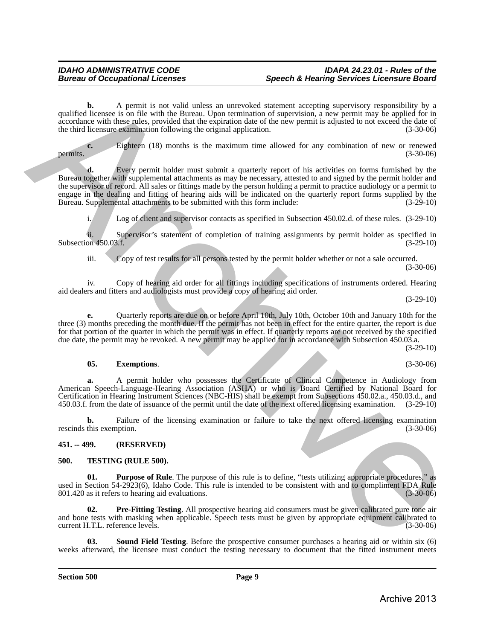**b.** A permit is not valid unless an unrevoked statement accepting supervisory responsibility by a qualified licensee is on file with the Bureau. Upon termination of supervision, a new permit may be applied for in accordance with these rules, provided that the expiration date of the new permit is adjusted to not exceed the date of the third licensure examination following the original application. (3-30-06)

**c.** Eighteen (18) months is the maximum time allowed for any combination of new or renewed (3-30-06)  $p$ ermits.  $(3-30-06)$ 

**d.** Every permit holder must submit a quarterly report of his activities on forms furnished by the Bureau together with supplemental attachments as may be necessary, attested to and signed by the permit holder and the supervisor of record. All sales or fittings made by the person holding a permit to practice audiology or a permit to engage in the dealing and fitting of hearing aids will be indicated on the quarterly report forms supplied by the Bureau. Supplemental attachments to be submitted with this form include:  $(3-29-10)$ Bureau. Supplemental attachments to be submitted with this form include: ynable in termes A period is ent with order as terrended at<br>stement scenarios supercistory respectively. The control of the control of<br>the same of the same of the same of the same of the same of the same of<br>the same of th

i. Log of client and supervisor contacts as specified in Subsection 450.02.d. of these rules. (3-29-10)

ii. Supervisor's statement of completion of training assignments by permit holder as specified in Subsection 450.03.f. (3-29-10)

iii. Copy of test results for all persons tested by the permit holder whether or not a sale occurred. (3-30-06)

iv. Copy of hearing aid order for all fittings including specifications of instruments ordered. Hearing aid dealers and fitters and audiologists must provide a copy of hearing aid order.

(3-29-10)

**e.** Quarterly reports are due on or before April 10th, July 10th, October 10th and January 10th for the three (3) months preceding the month due. If the permit has not been in effect for the entire quarter, the report is due for that portion of the quarter in which the permit was in effect. If quarterly reports are not received by the specified due date, the permit may be revoked. A new permit may be applied for in accordance with Subsection 450.03.a. (3-29-10)

#### <span id="page-8-2"></span>**05. Exemptions**. (3-30-06)

**a.** A permit holder who possesses the Certificate of Clinical Competence in Audiology from American Speech-Language-Hearing Association (ASHA) or who is Board Certified by National Board for Certification in Hearing Instrument Sciences (NBC-HIS) shall be exempt from Subsections 450.02.a., 450.03.d., and 450.03.f. from the date of issuance of the permit until the date of the next offered licensing examination. (3-29-10)

**b.** Failure of the licensing examination or failure to take the next offered licensing examination this exemption. (3-30-06) rescinds this exemption.

#### <span id="page-8-0"></span>**451. -- 499. (RESERVED)**

#### <span id="page-8-3"></span><span id="page-8-1"></span>**500. TESTING (RULE 500).**

<span id="page-8-5"></span>**01. Purpose of Rule**. The purpose of this rule is to define, "tests utilizing appropriate procedures," as used in Section 54-2923(6), Idaho Code. This rule is intended to be consistent with and to compliment FDA Rule 801.420 as it refers to hearing aid evaluations. 801.420 as it refers to hearing aid evaluations.

<span id="page-8-4"></span>**Pre-Fitting Testing.** All prospective hearing aid consumers must be given calibrated pure tone air and bone tests with masking when applicable. Speech tests must be given by appropriate equipment calibrated to current H.T.L. reference levels. (3-30-06)

<span id="page-8-6"></span>**03. Sound Field Testing**. Before the prospective consumer purchases a hearing aid or within six (6) weeks afterward, the licensee must conduct the testing necessary to document that the fitted instrument meets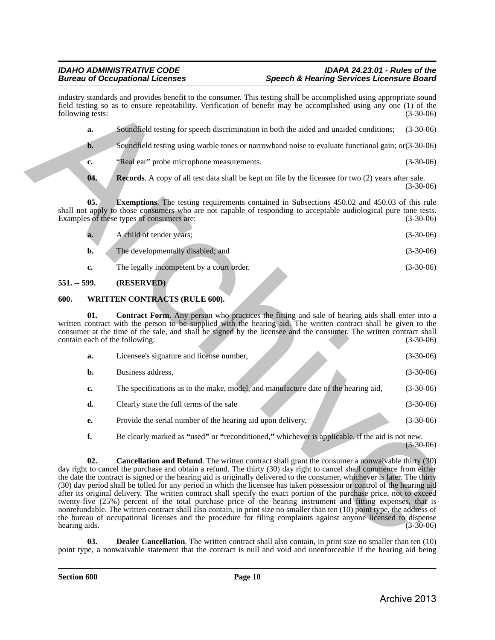#### *IDAHO ADMINISTRATIVE CODE IDAPA 24.23.01 - Rules of the Bureau of Occupational Licenses Speech & Hearing Services Licensure Board*

- **a.** Soundfield testing for speech discrimination in both the aided and unaided conditions; (3-30-06)
- **b.** Soundfield testing using warble tones or narrowband noise to evaluate functional gain; or(3-30-06)
- **c.** "Real ear" probe microphone measurements. (3-30-06)
- <span id="page-9-3"></span><span id="page-9-2"></span>**04.** Records. A copy of all test data shall be kept on file by the licensee for two (2) years after sale. (3-30-06)

| a. | A child of tender years;                  | $(3-30-06)$ |
|----|-------------------------------------------|-------------|
| b. | The developmentally disabled; and         | $(3-30-06)$ |
| c. | The legally incompetent by a court order. | $(3-30-06)$ |

## <span id="page-9-0"></span>**551. -- 599. (RESERVED)**

#### <span id="page-9-6"></span><span id="page-9-4"></span><span id="page-9-1"></span>**600. WRITTEN CONTRACTS (RULE 600).**

| following tests:     | industry standards and provides benefit to the consumer. This testing shall be accomplished using appropriate sound | $(3-30-06)$                                                                                                                                                                                                                                                                                                                                                                                                                                                                                                                                                                                                                                                                                                                                                                                                                                                                                                                                                                                                                                                                                                                                                                                                                                                                                                                                                                                                                                                                                                                                                                                                                                                                                                                                                                                                                                                                                                                                                                                                                                                                                                                                                                                                                                                                                                                                                                                                                                                                                                                                                                                                                      |
|----------------------|---------------------------------------------------------------------------------------------------------------------|----------------------------------------------------------------------------------------------------------------------------------------------------------------------------------------------------------------------------------------------------------------------------------------------------------------------------------------------------------------------------------------------------------------------------------------------------------------------------------------------------------------------------------------------------------------------------------------------------------------------------------------------------------------------------------------------------------------------------------------------------------------------------------------------------------------------------------------------------------------------------------------------------------------------------------------------------------------------------------------------------------------------------------------------------------------------------------------------------------------------------------------------------------------------------------------------------------------------------------------------------------------------------------------------------------------------------------------------------------------------------------------------------------------------------------------------------------------------------------------------------------------------------------------------------------------------------------------------------------------------------------------------------------------------------------------------------------------------------------------------------------------------------------------------------------------------------------------------------------------------------------------------------------------------------------------------------------------------------------------------------------------------------------------------------------------------------------------------------------------------------------------------------------------------------------------------------------------------------------------------------------------------------------------------------------------------------------------------------------------------------------------------------------------------------------------------------------------------------------------------------------------------------------------------------------------------------------------------------------------------------------|
| a.                   |                                                                                                                     | $(3-30-06)$                                                                                                                                                                                                                                                                                                                                                                                                                                                                                                                                                                                                                                                                                                                                                                                                                                                                                                                                                                                                                                                                                                                                                                                                                                                                                                                                                                                                                                                                                                                                                                                                                                                                                                                                                                                                                                                                                                                                                                                                                                                                                                                                                                                                                                                                                                                                                                                                                                                                                                                                                                                                                      |
| $b$ .                |                                                                                                                     |                                                                                                                                                                                                                                                                                                                                                                                                                                                                                                                                                                                                                                                                                                                                                                                                                                                                                                                                                                                                                                                                                                                                                                                                                                                                                                                                                                                                                                                                                                                                                                                                                                                                                                                                                                                                                                                                                                                                                                                                                                                                                                                                                                                                                                                                                                                                                                                                                                                                                                                                                                                                                                  |
| c.                   | "Real ear" probe microphone measurements.                                                                           | $(3-30-06)$                                                                                                                                                                                                                                                                                                                                                                                                                                                                                                                                                                                                                                                                                                                                                                                                                                                                                                                                                                                                                                                                                                                                                                                                                                                                                                                                                                                                                                                                                                                                                                                                                                                                                                                                                                                                                                                                                                                                                                                                                                                                                                                                                                                                                                                                                                                                                                                                                                                                                                                                                                                                                      |
| 04.                  |                                                                                                                     | $(3-30-06)$                                                                                                                                                                                                                                                                                                                                                                                                                                                                                                                                                                                                                                                                                                                                                                                                                                                                                                                                                                                                                                                                                                                                                                                                                                                                                                                                                                                                                                                                                                                                                                                                                                                                                                                                                                                                                                                                                                                                                                                                                                                                                                                                                                                                                                                                                                                                                                                                                                                                                                                                                                                                                      |
| 05.                  |                                                                                                                     | $(3-30-06)$                                                                                                                                                                                                                                                                                                                                                                                                                                                                                                                                                                                                                                                                                                                                                                                                                                                                                                                                                                                                                                                                                                                                                                                                                                                                                                                                                                                                                                                                                                                                                                                                                                                                                                                                                                                                                                                                                                                                                                                                                                                                                                                                                                                                                                                                                                                                                                                                                                                                                                                                                                                                                      |
| a.                   |                                                                                                                     | $(3-30-06)$                                                                                                                                                                                                                                                                                                                                                                                                                                                                                                                                                                                                                                                                                                                                                                                                                                                                                                                                                                                                                                                                                                                                                                                                                                                                                                                                                                                                                                                                                                                                                                                                                                                                                                                                                                                                                                                                                                                                                                                                                                                                                                                                                                                                                                                                                                                                                                                                                                                                                                                                                                                                                      |
| b.                   |                                                                                                                     | $(3-30-06)$                                                                                                                                                                                                                                                                                                                                                                                                                                                                                                                                                                                                                                                                                                                                                                                                                                                                                                                                                                                                                                                                                                                                                                                                                                                                                                                                                                                                                                                                                                                                                                                                                                                                                                                                                                                                                                                                                                                                                                                                                                                                                                                                                                                                                                                                                                                                                                                                                                                                                                                                                                                                                      |
| c.                   |                                                                                                                     | $(3-30-06)$                                                                                                                                                                                                                                                                                                                                                                                                                                                                                                                                                                                                                                                                                                                                                                                                                                                                                                                                                                                                                                                                                                                                                                                                                                                                                                                                                                                                                                                                                                                                                                                                                                                                                                                                                                                                                                                                                                                                                                                                                                                                                                                                                                                                                                                                                                                                                                                                                                                                                                                                                                                                                      |
| $551. - 599.$        |                                                                                                                     |                                                                                                                                                                                                                                                                                                                                                                                                                                                                                                                                                                                                                                                                                                                                                                                                                                                                                                                                                                                                                                                                                                                                                                                                                                                                                                                                                                                                                                                                                                                                                                                                                                                                                                                                                                                                                                                                                                                                                                                                                                                                                                                                                                                                                                                                                                                                                                                                                                                                                                                                                                                                                                  |
|                      |                                                                                                                     |                                                                                                                                                                                                                                                                                                                                                                                                                                                                                                                                                                                                                                                                                                                                                                                                                                                                                                                                                                                                                                                                                                                                                                                                                                                                                                                                                                                                                                                                                                                                                                                                                                                                                                                                                                                                                                                                                                                                                                                                                                                                                                                                                                                                                                                                                                                                                                                                                                                                                                                                                                                                                                  |
| 01.                  |                                                                                                                     | $(3-30-06)$                                                                                                                                                                                                                                                                                                                                                                                                                                                                                                                                                                                                                                                                                                                                                                                                                                                                                                                                                                                                                                                                                                                                                                                                                                                                                                                                                                                                                                                                                                                                                                                                                                                                                                                                                                                                                                                                                                                                                                                                                                                                                                                                                                                                                                                                                                                                                                                                                                                                                                                                                                                                                      |
| a.                   |                                                                                                                     | $(3-30-06)$                                                                                                                                                                                                                                                                                                                                                                                                                                                                                                                                                                                                                                                                                                                                                                                                                                                                                                                                                                                                                                                                                                                                                                                                                                                                                                                                                                                                                                                                                                                                                                                                                                                                                                                                                                                                                                                                                                                                                                                                                                                                                                                                                                                                                                                                                                                                                                                                                                                                                                                                                                                                                      |
| b.                   |                                                                                                                     | $(3-30-06)$                                                                                                                                                                                                                                                                                                                                                                                                                                                                                                                                                                                                                                                                                                                                                                                                                                                                                                                                                                                                                                                                                                                                                                                                                                                                                                                                                                                                                                                                                                                                                                                                                                                                                                                                                                                                                                                                                                                                                                                                                                                                                                                                                                                                                                                                                                                                                                                                                                                                                                                                                                                                                      |
| c.                   |                                                                                                                     | $(3-30-06)$                                                                                                                                                                                                                                                                                                                                                                                                                                                                                                                                                                                                                                                                                                                                                                                                                                                                                                                                                                                                                                                                                                                                                                                                                                                                                                                                                                                                                                                                                                                                                                                                                                                                                                                                                                                                                                                                                                                                                                                                                                                                                                                                                                                                                                                                                                                                                                                                                                                                                                                                                                                                                      |
| d.                   |                                                                                                                     | $(3-30-06)$                                                                                                                                                                                                                                                                                                                                                                                                                                                                                                                                                                                                                                                                                                                                                                                                                                                                                                                                                                                                                                                                                                                                                                                                                                                                                                                                                                                                                                                                                                                                                                                                                                                                                                                                                                                                                                                                                                                                                                                                                                                                                                                                                                                                                                                                                                                                                                                                                                                                                                                                                                                                                      |
| е.                   |                                                                                                                     | $(3-30-06)$                                                                                                                                                                                                                                                                                                                                                                                                                                                                                                                                                                                                                                                                                                                                                                                                                                                                                                                                                                                                                                                                                                                                                                                                                                                                                                                                                                                                                                                                                                                                                                                                                                                                                                                                                                                                                                                                                                                                                                                                                                                                                                                                                                                                                                                                                                                                                                                                                                                                                                                                                                                                                      |
| f.                   |                                                                                                                     | $(3-30-06)$                                                                                                                                                                                                                                                                                                                                                                                                                                                                                                                                                                                                                                                                                                                                                                                                                                                                                                                                                                                                                                                                                                                                                                                                                                                                                                                                                                                                                                                                                                                                                                                                                                                                                                                                                                                                                                                                                                                                                                                                                                                                                                                                                                                                                                                                                                                                                                                                                                                                                                                                                                                                                      |
| 02.<br>hearing aids. |                                                                                                                     | $(3-30-06)$                                                                                                                                                                                                                                                                                                                                                                                                                                                                                                                                                                                                                                                                                                                                                                                                                                                                                                                                                                                                                                                                                                                                                                                                                                                                                                                                                                                                                                                                                                                                                                                                                                                                                                                                                                                                                                                                                                                                                                                                                                                                                                                                                                                                                                                                                                                                                                                                                                                                                                                                                                                                                      |
|                      |                                                                                                                     | field testing so as to ensure repeatability. Verification of benefit may be accomplished using any one (1) of the<br>Soundfield testing for speech discrimination in both the aided and unaided conditions;<br>Soundfield testing using warble tones or narrowband noise to evaluate functional gain; or (3-30-06)<br><b>Records.</b> A copy of all test data shall be kept on file by the licensee for two (2) years after sale.<br><b>Exemptions.</b> The testing requirements contained in Subsections 450.02 and 450.03 of this rule<br>shall not apply to those consumers who are not capable of responding to acceptable audiological pure tone tests.<br>Examples of these types of consumers are:<br>A child of tender years;<br>The developmentally disabled; and<br>The legally incompetent by a court order.<br>(RESERVED)<br><b>WRITTEN CONTRACTS (RULE 600).</b><br><b>Contract Form.</b> Any person who practices the fitting and sale of hearing aids shall enter into a<br>written contract with the person to be supplied with the hearing aid. The written contract shall be given to the<br>consumer at the time of the sale, and shall be signed by the licensee and the consumer. The written contract shall<br>contain each of the following:<br>Licensee's signature and license number,<br>Business address,<br>The specifications as to the make, model, and manufacture date of the hearing aid,<br>Clearly state the full terms of the sale<br>Provide the serial number of the hearing aid upon delivery.<br>Be clearly marked as "used" or "reconditioned," whichever is applicable, if the aid is not new.<br><b>Cancellation and Refund</b> . The written contract shall grant the consumer a nonwaivable thirty (30)<br>day right to cancel the purchase and obtain a refund. The thirty (30) day right to cancel shall commence from either<br>the date the contract is signed or the hearing aid is originally delivered to the consumer, whichever is later. The thirty<br>(30) day period shall be tolled for any period in which the licensee has taken possession or control of the hearing aid<br>after its original delivery. The written contract shall specify the exact portion of the purchase price, not to exceed<br>twenty-five (25%) percent of the total purchase price of the hearing instrument and fitting expenses, that is<br>nonrefundable. The written contract shall also contain, in print size no smaller than ten (10) point type, the address of<br>the bureau of occupational licenses and the procedure for filing complaints against anyone licensed to dispense |

<span id="page-9-7"></span><span id="page-9-5"></span>**Dealer Cancellation**. The written contract shall also contain, in print size no smaller than ten (10) point type, a nonwaivable statement that the contract is null and void and unenforceable if the hearing aid being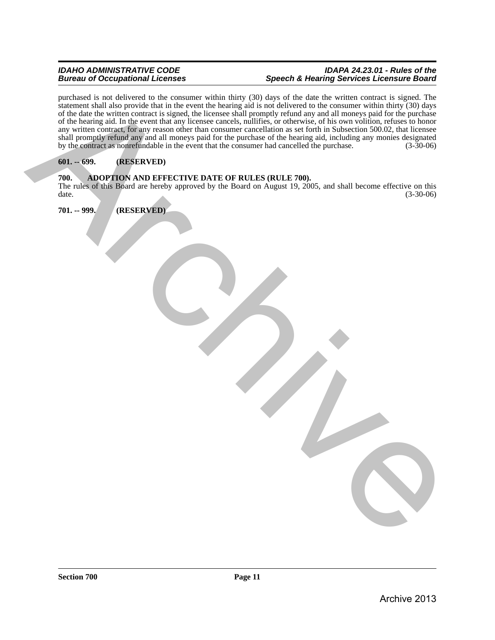#### *IDAHO ADMINISTRATIVE CODE IDAPA 24.23.01 - Rules of the* **Speech & Hearing Services Licensure Board**

purchased is not delivered to the consumer within thirty (30) days of the date the written contract is signed. The statement shall also provide that in the event the hearing aid is not delivered to the consumer within thirty (30) days of the date the written contract is signed, the licensee shall promptly refund any and all moneys paid for the purchase of the hearing aid. In the event that any licensee cancels, nullifies, or otherwise, of his own volition, refuses to honor any written contract, for any reason other than consumer cancellation as set forth in Subsection 500.02, that licensee shall promptly refund any and all moneys paid for the purchase of the hearing aid, including any monies designated<br>by the contract as nonrefundable in the event that the consumer had cancelled the purchase. (3-30-06) by the contract as nonrefundable in the event that the consumer had cancelled the purchase. method is all discussions for the control of the state of the state of the state of the state of the state of the state of the state of the state of the state of the state of the state of the state of the state of the sta

# <span id="page-10-0"></span>**601. -- 699. (RESERVED)**

## <span id="page-10-3"></span><span id="page-10-1"></span>**700. ADOPTION AND EFFECTIVE DATE OF RULES (RULE 700).**

The rules of this Board are hereby approved by the Board on August 19, 2005, and shall become effective on this date. (3-30-06) date. (3-30-06)

<span id="page-10-2"></span>**701. -- 999. (RESERVED)**